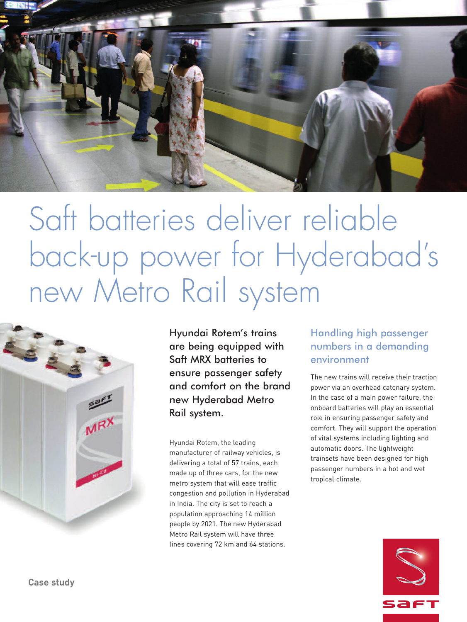

# Saft batteries deliver reliable back-up power for Hyderabad' s new Metro Rail system



Hyundai Rotem's trains are being equipped with Saft MRX batteries to ensure passenger safety and comfort on the brand new Hyderabad Metro Rail system.

Hyundai Rotem, the leading manufacturer of railway vehicles, is delivering a total of 57 trains, each made up of three cars, for the new metro system that will ease traffic congestion and pollution in Hyderabad in India. The city is set to reach a population approaching 14 million people by 2021. The new Hyderabad Metro Rail system will have three lines covering 72 km and 64 stations.

## Handling high passenger numbers in a demanding environment

The new trains will receive their traction power via an overhead catenary system. In the case of a main power failure, the onboard batteries will play an essential role in ensuring passenger safety and comfort. They will support the operation of vital systems including lighting and automatic doors. The lightweight trainsets have been designed for high passenger numbers in a hot and wet tropical climate.